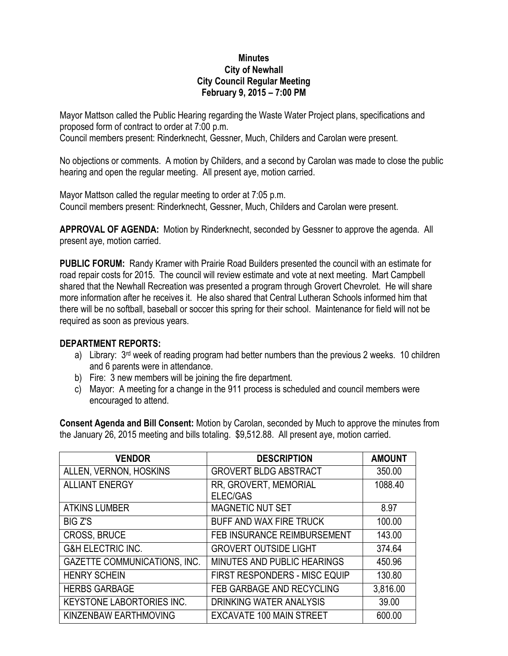## **Minutes City of Newhall City Council Regular Meeting February 9, 2015 – 7:00 PM**

Mayor Mattson called the Public Hearing regarding the Waste Water Project plans, specifications and proposed form of contract to order at 7:00 p.m. Council members present: Rinderknecht, Gessner, Much, Childers and Carolan were present.

No objections or comments. A motion by Childers, and a second by Carolan was made to close the public hearing and open the regular meeting. All present aye, motion carried.

Mayor Mattson called the regular meeting to order at 7:05 p.m. Council members present: Rinderknecht, Gessner, Much, Childers and Carolan were present.

**APPROVAL OF AGENDA:** Motion by Rinderknecht, seconded by Gessner to approve the agenda. All present aye, motion carried.

**PUBLIC FORUM:** Randy Kramer with Prairie Road Builders presented the council with an estimate for road repair costs for 2015. The council will review estimate and vote at next meeting. Mart Campbell shared that the Newhall Recreation was presented a program through Grovert Chevrolet. He will share more information after he receives it. He also shared that Central Lutheran Schools informed him that there will be no softball, baseball or soccer this spring for their school. Maintenance for field will not be required as soon as previous years.

## **DEPARTMENT REPORTS:**

- a) Library: 3<sup>rd</sup> week of reading program had better numbers than the previous 2 weeks. 10 children and 6 parents were in attendance.
- b) Fire: 3 new members will be joining the fire department.
- c) Mayor: A meeting for a change in the 911 process is scheduled and council members were encouraged to attend.

**Consent Agenda and Bill Consent:** Motion by Carolan, seconded by Much to approve the minutes from the January 26, 2015 meeting and bills totaling. \$9,512.88. All present aye, motion carried.

| <b>VENDOR</b>                       | <b>DESCRIPTION</b>              | <b>AMOUNT</b> |
|-------------------------------------|---------------------------------|---------------|
| ALLEN, VERNON, HOSKINS              | <b>GROVERT BLDG ABSTRACT</b>    | 350.00        |
| <b>ALLIANT ENERGY</b>               | RR, GROVERT, MEMORIAL           | 1088.40       |
|                                     | ELEC/GAS                        |               |
| <b>ATKINS LUMBER</b>                | MAGNETIC NUT SET                | 8.97          |
| <b>BIG Z'S</b>                      | BUFF AND WAX FIRE TRUCK         | 100.00        |
| <b>CROSS, BRUCE</b>                 | FEB INSURANCE REIMBURSEMENT     | 143.00        |
| <b>G&amp;H ELECTRIC INC.</b>        | <b>GROVERT OUTSIDE LIGHT</b>    | 374.64        |
| <b>GAZETTE COMMUNICATIONS, INC.</b> | MINUTES AND PUBLIC HEARINGS     | 450.96        |
| <b>HENRY SCHEIN</b>                 | FIRST RESPONDERS - MISC EQUIP   | 130.80        |
| <b>HERBS GARBAGE</b>                | FEB GARBAGE AND RECYCLING       | 3,816.00      |
| <b>KEYSTONE LABORTORIES INC.</b>    | <b>DRINKING WATER ANALYSIS</b>  | 39.00         |
| KINZENBAW EARTHMOVING               | <b>EXCAVATE 100 MAIN STREET</b> | 600.00        |